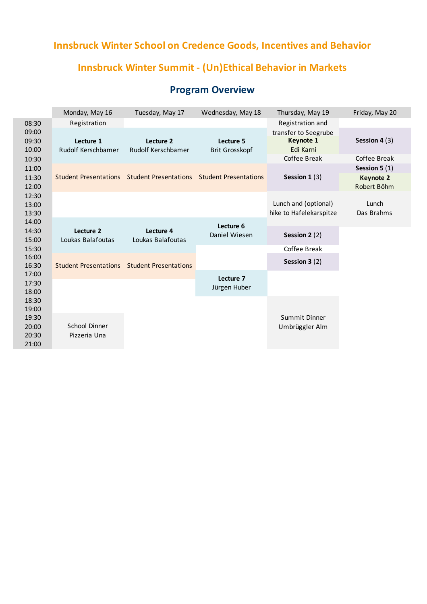## **Innsbruck Winter School on Credence Goods, Incentives and Behavior**

## **Innsbruck Winter Summit - (Un)Ethical Behavior in Markets**

## **Program Overview**

|                         | Monday, May 16                  | Tuesday, May 17                                                   | Wednesday, May 18                  | Thursday, May 19                                | Friday, May 20                  |
|-------------------------|---------------------------------|-------------------------------------------------------------------|------------------------------------|-------------------------------------------------|---------------------------------|
| 08:30                   | Registration                    |                                                                   |                                    | Registration and                                |                                 |
| 09:00<br>09:30<br>10:00 | Lecture 1<br>Rudolf Kerschbamer | Lecture 2<br>Rudolf Kerschbamer                                   | Lecture 5<br><b>Brit Grosskopf</b> | transfer to Seegrube<br>Keynote 1<br>Edi Karni  | Session 4 (3)                   |
| 10:30                   |                                 |                                                                   |                                    | Coffee Break                                    | Coffee Break                    |
| 11:00                   |                                 |                                                                   |                                    |                                                 | Session 5 $(1)$                 |
| 11:30<br>12:00          |                                 | Student Presentations Student Presentations Student Presentations |                                    | Session $1(3)$                                  | <b>Keynote 2</b><br>Robert Böhm |
| 12:30<br>13:00<br>13:30 |                                 |                                                                   |                                    | Lunch and (optional)<br>hike to Hafelekarspitze | Lunch<br>Das Brahms             |
| 14:00                   |                                 |                                                                   | Lecture 6                          |                                                 |                                 |
| 14:30<br>15:00          | Lecture 2<br>Loukas Balafoutas  | Lecture 4<br>Loukas Balafoutas                                    | Daniel Wiesen                      | Session 2 (2)                                   |                                 |
| 15:30                   |                                 |                                                                   |                                    | Coffee Break                                    |                                 |
| 16:00<br>16:30          | <b>Student Presentations</b>    | <b>Student Presentations</b>                                      |                                    | Session 3 (2)                                   |                                 |
| 17:00<br>17:30<br>18:00 |                                 |                                                                   | Lecture 7<br>Jürgen Huber          |                                                 |                                 |
| 18:30<br>19:00<br>19:30 |                                 |                                                                   |                                    | Summit Dinner                                   |                                 |
| 20:00<br>20:30<br>21:00 | School Dinner<br>Pizzeria Una   |                                                                   |                                    | Umbrüggler Alm                                  |                                 |